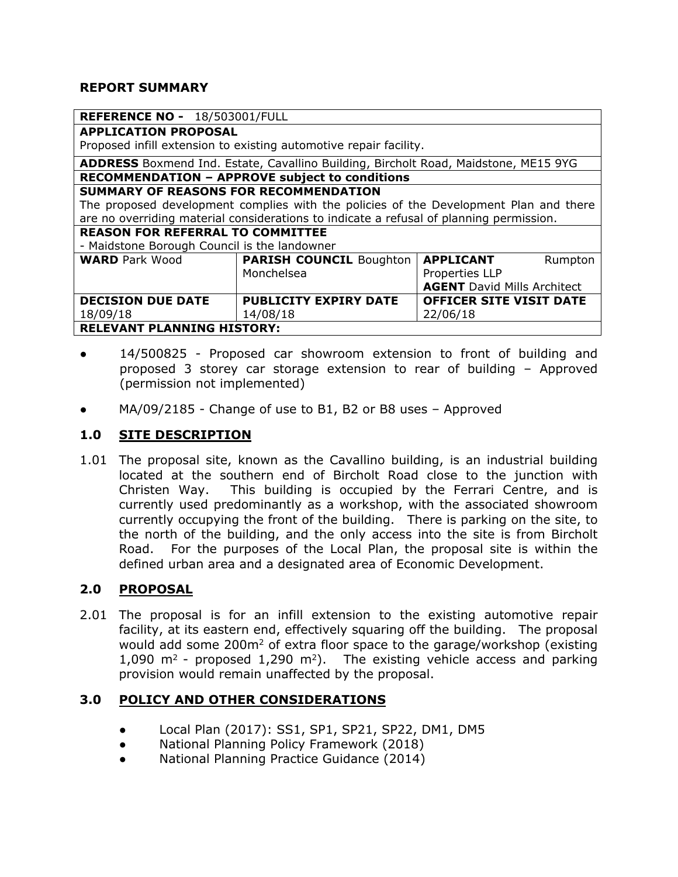#### **REPORT SUMMARY**

| REFERENCE NO - 18/503001/FULL                                                              |                                |                                    |
|--------------------------------------------------------------------------------------------|--------------------------------|------------------------------------|
| <b>APPLICATION PROPOSAL</b>                                                                |                                |                                    |
| Proposed infill extension to existing automotive repair facility.                          |                                |                                    |
| <b>ADDRESS</b> Boxmend Ind. Estate, Cavallino Building, Bircholt Road, Maidstone, ME15 9YG |                                |                                    |
| <b>RECOMMENDATION - APPROVE subject to conditions</b>                                      |                                |                                    |
| SUMMARY OF REASONS FOR RECOMMENDATION                                                      |                                |                                    |
| The proposed development complies with the policies of the Development Plan and there      |                                |                                    |
| are no overriding material considerations to indicate a refusal of planning permission.    |                                |                                    |
| <b>REASON FOR REFERRAL TO COMMITTEE</b>                                                    |                                |                                    |
| - Maidstone Borough Council is the landowner                                               |                                |                                    |
| <b>WARD</b> Park Wood                                                                      | <b>PARISH COUNCIL Boughton</b> | <b>APPLICANT</b><br>Rumpton        |
|                                                                                            | Monchelsea                     | Properties LLP                     |
|                                                                                            |                                | <b>AGENT</b> David Mills Architect |
| <b>DECISION DUE DATE</b>                                                                   | <b>PUBLICITY EXPIRY DATE</b>   | <b>OFFICER SITE VISIT DATE</b>     |
| 18/09/18                                                                                   | 14/08/18                       | 22/06/18                           |
| <b>RELEVANT PLANNING HISTORY:</b>                                                          |                                |                                    |

- 14/500825 Proposed car showroom extension to front of building and proposed 3 storey car storage extension to rear of building – Approved (permission not implemented)
- $MA/09/2185$  Change of use to B1, B2 or B8 uses Approved

### **1.0 SITE DESCRIPTION**

1.01 The proposal site, known as the Cavallino building, is an industrial building located at the southern end of Bircholt Road close to the junction with Christen Way. This building is occupied by the Ferrari Centre, and is currently used predominantly as a workshop, with the associated showroom currently occupying the front of the building. There is parking on the site, to the north of the building, and the only access into the site is from Bircholt Road. For the purposes of the Local Plan, the proposal site is within the defined urban area and a designated area of Economic Development.

### **2.0 PROPOSAL**

2.01 The proposal is for an infill extension to the existing automotive repair facility, at its eastern end, effectively squaring off the building. The proposal would add some 200m<sup>2</sup> of extra floor space to the garage/workshop (existing 1,090  $m^2$  - proposed 1,290  $m^2$ ). The existing vehicle access and parking provision would remain unaffected by the proposal.

### **3.0 POLICY AND OTHER CONSIDERATIONS**

- Local Plan (2017): SS1, SP1, SP21, SP22, DM1, DM5
- National Planning Policy Framework (2018)
- National Planning Practice Guidance (2014)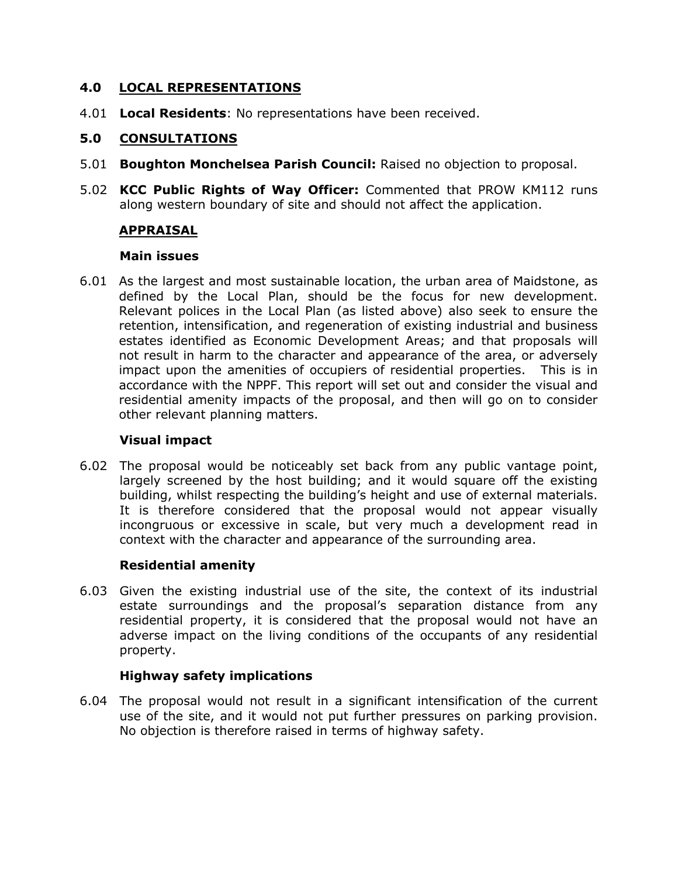### **4.0 LOCAL REPRESENTATIONS**

4.01 **Local Residents**: No representations have been received.

# **5.0 CONSULTATIONS**

- 5.01 **Boughton Monchelsea Parish Council:** Raised no objection to proposal.
- 5.02 **KCC Public Rights of Way Officer:** Commented that PROW KM112 runs along western boundary of site and should not affect the application.

# **APPRAISAL**

### **Main issues**

6.01 As the largest and most sustainable location, the urban area of Maidstone, as defined by the Local Plan, should be the focus for new development. Relevant polices in the Local Plan (as listed above) also seek to ensure the retention, intensification, and regeneration of existing industrial and business estates identified as Economic Development Areas; and that proposals will not result in harm to the character and appearance of the area, or adversely impact upon the amenities of occupiers of residential properties. This is in accordance with the NPPF. This report will set out and consider the visual and residential amenity impacts of the proposal, and then will go on to consider other relevant planning matters.

### **Visual impact**

6.02 The proposal would be noticeably set back from any public vantage point, largely screened by the host building; and it would square off the existing building, whilst respecting the building's height and use of external materials. It is therefore considered that the proposal would not appear visually incongruous or excessive in scale, but very much a development read in context with the character and appearance of the surrounding area.

# **Residential amenity**

6.03 Given the existing industrial use of the site, the context of its industrial estate surroundings and the proposal's separation distance from any residential property, it is considered that the proposal would not have an adverse impact on the living conditions of the occupants of any residential property.

# **Highway safety implications**

6.04 The proposal would not result in a significant intensification of the current use of the site, and it would not put further pressures on parking provision. No objection is therefore raised in terms of highway safety.